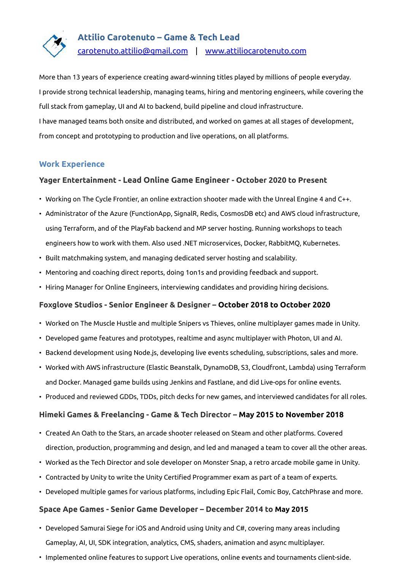

## **Attilio Carotenuto – Game & Tech Lead**

[carotenuto.attilio@gmail.com](mailto:carotenuto.attilio@gmail.com) | [www.attiliocarotenuto.com](http://www.attiliocarotenuto.com/)

More than 13 years of experience creating award-winning titles played by millions of people everyday. I provide strong technical leadership, managing teams, hiring and mentoring engineers, while covering the full stack from gameplay, UI and AI to backend, build pipeline and cloud infrastructure. I have managed teams both onsite and distributed, and worked on games at all stages of development, from concept and prototyping to production and live operations, on all platforms.

### **Work Experience**

#### **Yager Entertainment - Lead Online Game Engineer - October 2020 to Present**

- Working on The Cycle Frontier, an online extraction shooter made with the Unreal Engine 4 and C++.
- Administrator of the Azure (FunctionApp, SignalR, Redis, CosmosDB etc) and AWS cloud infrastructure, using Terraform, and of the PlayFab backend and MP server hosting. Running workshops to teach engineers how to work with them. Also used .NET microservices, Docker, RabbitMQ, Kubernetes.
- Built matchmaking system, and managing dedicated server hosting and scalability.
- Mentoring and coaching direct reports, doing 1on1s and providing feedback and support.
- Hiring Manager for Online Engineers, interviewing candidates and providing hiring decisions.

## **Foxglove Studios - Senior Engineer & Designer – October 2018 to October 2020**

- Worked on The Muscle Hustle and multiple Snipers vs Thieves, online multiplayer games made in Unity.
- Developed game features and prototypes, realtime and async multiplayer with Photon, UI and AI.
- Backend development using Node.js, developing live events scheduling, subscriptions, sales and more.
- Worked with AWS infrastructure (Elastic Beanstalk, DynamoDB, S3, Cloudfront, Lambda) using Terraform and Docker. Managed game builds using Jenkins and Fastlane, and did Live-ops for online events.
- Produced and reviewed GDDs, TDDs, pitch decks for new games, and interviewed candidates for all roles.

#### **Himeki Games & Freelancing - Game & Tech Director – May 2015 to November 2018**

- Created An Oath to the Stars, an arcade shooter released on Steam and other platforms. Covered direction, production, programming and design, and led and managed a team to cover all the other areas.
- Worked as the Tech Director and sole developer on Monster Snap, a retro arcade mobile game in Unity.
- Contracted by Unity to write the Unity Certified Programmer exam as part of a team of experts.
- Developed multiple games for various platforms, including Epic Flail, Comic Boy, CatchPhrase and more.

#### **Space Ape Games - Senior Game Developer – December 2014 to May 2015**

- Developed Samurai Siege for iOS and Android using Unity and C#, covering many areas including Gameplay, AI, UI, SDK integration, analytics, CMS, shaders, animation and async multiplayer.
- Implemented online features to support Live operations, online events and tournaments client-side.